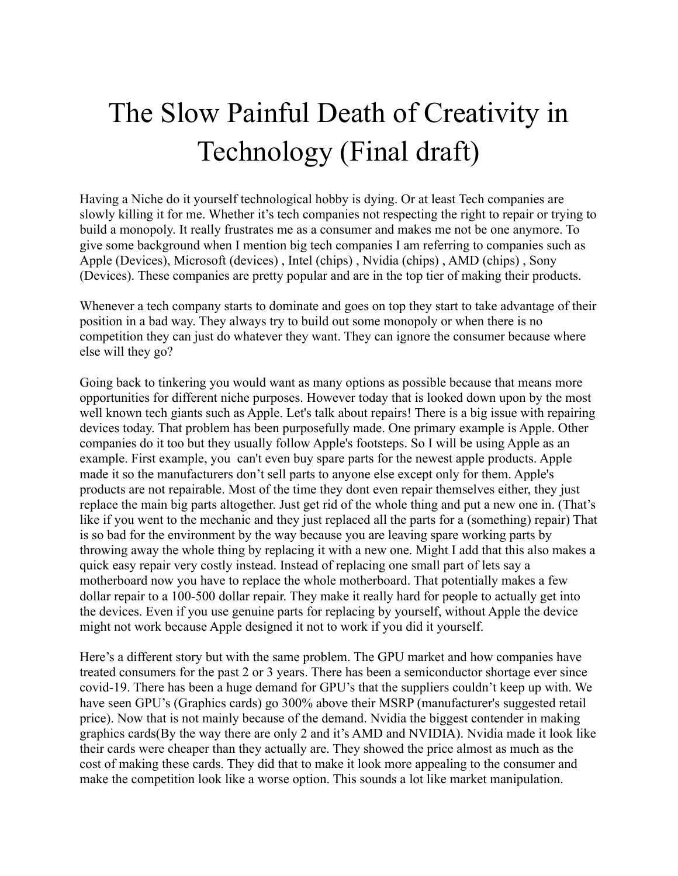## The Slow Painful Death of Creativity in Technology (Final draft)

Having a Niche do it yourself technological hobby is dying. Or at least Tech companies are slowly killing it for me. Whether it's tech companies not respecting the right to repair or trying to build a monopoly. It really frustrates me as a consumer and makes me not be one anymore. To give some background when I mention big tech companies I am referring to companies such as Apple (Devices), Microsoft (devices) , Intel (chips) , Nvidia (chips) , AMD (chips) , Sony (Devices). These companies are pretty popular and are in the top tier of making their products.

Whenever a tech company starts to dominate and goes on top they start to take advantage of their position in a bad way. They always try to build out some monopoly or when there is no competition they can just do whatever they want. They can ignore the consumer because where else will they go?

Going back to tinkering you would want as many options as possible because that means more opportunities for different niche purposes. However today that is looked down upon by the most well known tech giants such as Apple. Let's talk about repairs! There is a big issue with repairing devices today. That problem has been purposefully made. One primary example is Apple. Other companies do it too but they usually follow Apple's footsteps. So I will be using Apple as an example. First example, you can't even buy spare parts for the newest apple products. Apple made it so the manufacturers don't sell parts to anyone else except only for them. Apple's products are not repairable. Most of the time they dont even repair themselves either, they just replace the main big parts altogether. Just get rid of the whole thing and put a new one in. (That's like if you went to the mechanic and they just replaced all the parts for a (something) repair) That is so bad for the environment by the way because you are leaving spare working parts by throwing away the whole thing by replacing it with a new one. Might I add that this also makes a quick easy repair very costly instead. Instead of replacing one small part of lets say a motherboard now you have to replace the whole motherboard. That potentially makes a few dollar repair to a 100-500 dollar repair. They make it really hard for people to actually get into the devices. Even if you use genuine parts for replacing by yourself, without Apple the device might not work because Apple designed it not to work if you did it yourself.

Here's a different story but with the same problem. The GPU market and how companies have treated consumers for the past 2 or 3 years. There has been a semiconductor shortage ever since covid-19. There has been a huge demand for GPU's that the suppliers couldn't keep up with. We have seen GPU's (Graphics cards) go 300% above their MSRP (manufacturer's suggested retail price). Now that is not mainly because of the demand. Nvidia the biggest contender in making graphics cards(By the way there are only 2 and it's AMD and NVIDIA). Nvidia made it look like their cards were cheaper than they actually are. They showed the price almost as much as the cost of making these cards. They did that to make it look more appealing to the consumer and make the competition look like a worse option. This sounds a lot like market manipulation.